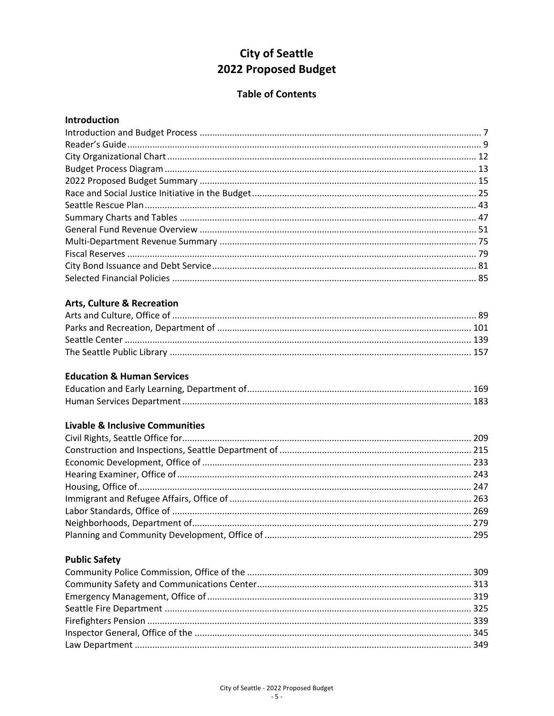# **City of Seattle** 2022 Proposed Budget

### **Table of Contents**

#### Introduction

## **Arts, Culture & Recreation**

#### **Education & Human Services**

#### **Livable & Inclusive Communities**

# **Public Safety**